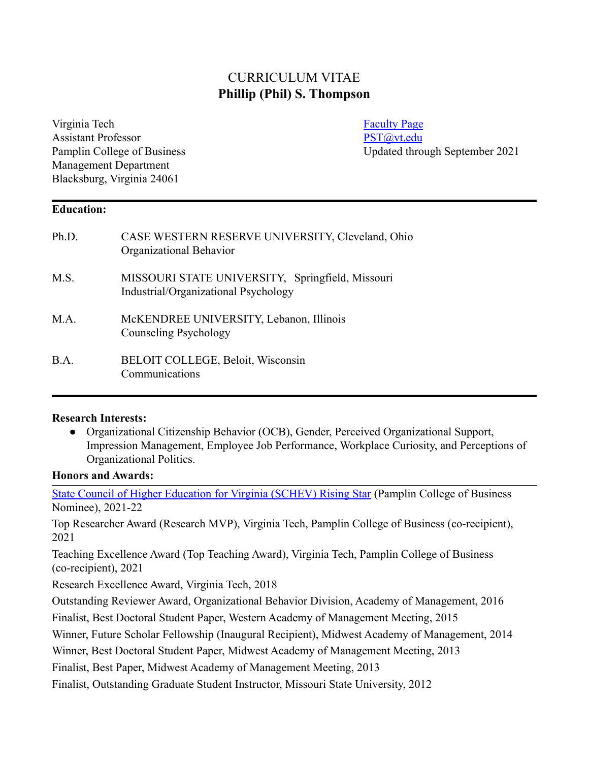# CURRICULUM VITAE **Phillip (Phil) S. Thompson**

Virginia Tech [Faculty Page](https://management.pamplin.vt.edu/faculty/directory/thompson-phil.html) **Faculty Page** Assistant Professor **PST**@vt.edu Management Department Blacksburg, Virginia 24061

Pamplin College of Business Updated through September 2021

#### **Education:**

| Ph.D. | CASE WESTERN RESERVE UNIVERSITY, Cleveland, Ohio<br>Organizational Behavior              |
|-------|------------------------------------------------------------------------------------------|
| M.S.  | MISSOURI STATE UNIVERSITY, Springfield, Missouri<br>Industrial/Organizational Psychology |
| M.A.  | McKENDREE UNIVERSITY, Lebanon, Illinois<br>Counseling Psychology                         |
| B.A.  | BELOIT COLLEGE, Beloit, Wisconsin<br>Communications                                      |

#### **Research Interests:**

● Organizational Citizenship Behavior (OCB), Gender, Perceived Organizational Support, Impression Management, Employee Job Performance, Workplace Curiosity, and Perceptions of Organizational Politics.

### **Honors and Awards:**

[State Council of Higher Education for Virginia \(SCHEV\) Rising Star](https://schev.edu/index/institutional/outstanding-faculty-awards) (Pamplin College of Business Nominee), 2021-22

Top Researcher Award (Research MVP), Virginia Tech, Pamplin College of Business (co-recipient), 2021

Teaching Excellence Award (Top Teaching Award), Virginia Tech, Pamplin College of Business (co-recipient), 2021

Research Excellence Award, Virginia Tech, 2018

Outstanding Reviewer Award, Organizational Behavior Division, Academy of Management, 2016

Finalist, Best Doctoral Student Paper, Western Academy of Management Meeting, 2015

Winner, Future Scholar Fellowship (Inaugural Recipient), Midwest Academy of Management, 2014

Winner, Best Doctoral Student Paper, Midwest Academy of Management Meeting, 2013

Finalist, Best Paper, Midwest Academy of Management Meeting, 2013

Finalist, Outstanding Graduate Student Instructor, Missouri State University, 2012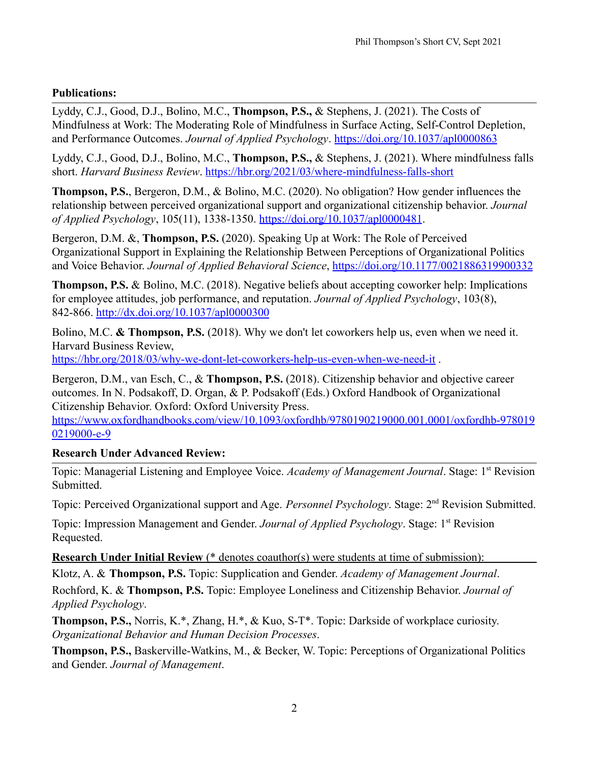### **Publications:**

Lyddy, C.J., Good, D.J., Bolino, M.C., **Thompson, P.S.,** & Stephens, J. (2021). The Costs of Mindfulness at Work: The Moderating Role of Mindfulness in Surface Acting, Self-Control Depletion, and Performance Outcomes. *Journal of Applied Psychology*. <https://doi.org/10.1037/apl0000863>

Lyddy, C.J., Good, D.J., Bolino, M.C., **Thompson, P.S.,** & Stephens, J. (2021). Where mindfulness falls short. *Harvard Business Review*. <https://hbr.org/2021/03/where-mindfulness-falls-short>

**Thompson, P.S.**, Bergeron, D.M., & [Bolino, M.C.](http://www.ou.edu/price/management_ib/faculty/Mark_Bolino.html) (2020). No obligation? How gender influences the relationship between perceived organizational support and organizational citizenship behavior. *Journal of Applied Psychology*, 105(11), 1338-1350. <https://doi.org/10.1037/apl0000481>.

Bergeron, D.M. &, **Thompson, P.S.** (2020). Speaking Up at Work: The Role of Perceived Organizational Support in Explaining the Relationship Between Perceptions of Organizational Politics and Voice Behavior. *Journal of Applied Behavioral Science*, <https://doi.org/10.1177/0021886319900332>

**Thompson, P.S.** & [Bolino, M.C.](http://www.ou.edu/price/management_ib/faculty/Mark_Bolino.html) (2018). Negative beliefs about accepting coworker help: Implications for employee attitudes, job performance, and reputation. *Journal of Applied Psychology*, 103(8), 842-866. <http://dx.doi.org/10.1037/apl0000300>

Bolino, M.C. **& Thompson, P.S.** (2018). Why we don't let coworkers help us, even when we need it. Harvard Business Review,

<https://hbr.org/2018/03/why-we-dont-let-coworkers-help-us-even-when-we-need-it> .

[Bergeron, D.M.,](https://weatherhead.case.edu/faculty/diane-bergeron) van Esch, C., & **Thompson, P.S.** (2018). Citizenship behavior and objective career outcomes. In N. Podsakoff, D. Organ, & P. Podsakoff (Eds.) Oxford Handbook of Organizational Citizenship Behavior. Oxford: Oxford University Press.

[https://www.oxfordhandbooks.com/view/10.1093/oxfordhb/9780190219000.001.0001/oxfordhb-978019](https://www.oxfordhandbooks.com/view/10.1093/oxfordhb/9780190219000.001.0001/oxfordhb-9780190219000-e-9) [0219000-e-9](https://www.oxfordhandbooks.com/view/10.1093/oxfordhb/9780190219000.001.0001/oxfordhb-9780190219000-e-9)

# **Research Under Advanced Review:**

Topic: Managerial Listening and Employee Voice. *Academy of Management Journal*. Stage: 1st Revision Submitted.

Topic: Perceived Organizational support and Age. *Personnel Psychology*. Stage: 2nd Revision Submitted.

Topic: Impression Management and Gender. *Journal of Applied Psychology*. Stage: 1<sup>st</sup> Revision Requested.

**Research Under Initial Review** (\* denotes coauthor(s) were students at time of submission):

Klotz, A. & **Thompson, P.S.** Topic: Supplication and Gender. *Academy of Management Journal*. Rochford, K. & **Thompson, P.S.** Topic: Employee Loneliness and Citizenship Behavior. *Journal of Applied Psychology*.

**Thompson, P.S.,** Norris, K.\*, Zhang, H.\*, & Kuo, S-T\*. Topic: Darkside of workplace curiosity. *Organizational Behavior and Human Decision Processes*.

**Thompson, P.S.,** Baskerville-Watkins, M., & Becker, W. Topic: Perceptions of Organizational Politics and Gender. *Journal of Management*.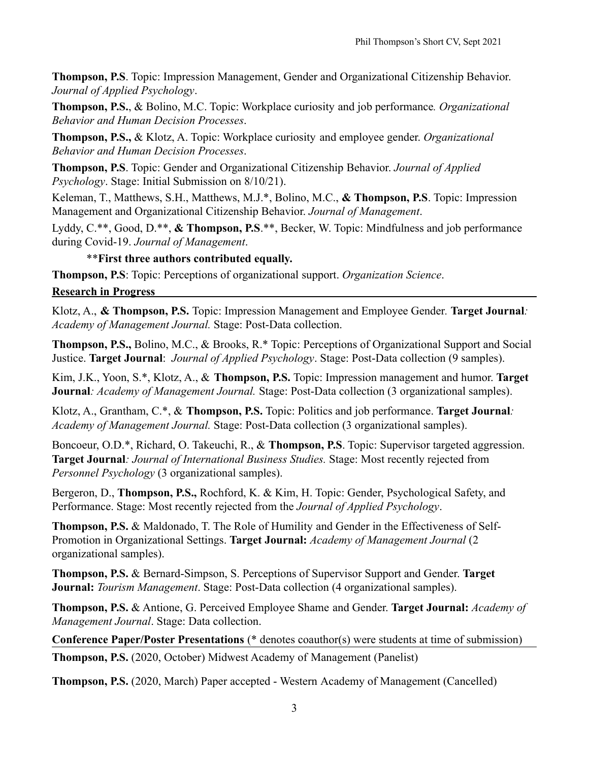**Thompson, P.S**. Topic: Impression Management, Gender and Organizational Citizenship Behavior. *Journal of Applied Psychology*.

**Thompson, P.S.**, & Bolino, M.C. Topic: Workplace curiosity and job performance*. Organizational Behavior and Human Decision Processes*.

**Thompson, P.S.,** & Klotz, A. Topic: Workplace curiosity and employee gender. *Organizational Behavior and Human Decision Processes*.

**Thompson, P.S**. Topic: Gender and Organizational Citizenship Behavior. *Journal of Applied Psychology*. Stage: Initial Submission on 8/10/21).

Keleman, T., Matthews, S.H., Matthews, M.J.\*, Bolino, M.C., **& Thompson, P.S**. Topic: Impression Management and Organizational Citizenship Behavior. *Journal of Management*.

Lyddy, C.\*\*, Good, D.\*\*, **& Thompson, P.S**.\*\*, Becker, W. Topic: Mindfulness and job performance during Covid-19. *Journal of Management*.

### \*\***First three authors contributed equally.**

**Thompson, P.S**: Topic: Perceptions of organizational support. *Organization Science*.

#### **Research in Progress**

Klotz, A., **& Thompson, P.S.** Topic: Impression Management and Employee Gender*.* **Target Journal***: Academy of Management Journal.* Stage: Post-Data collection.

**Thompson, P.S.,** Bolino, M.C., & Brooks, R.\* Topic: Perceptions of Organizational Support and Social Justice. **Target Journal**: *Journal of Applied Psychology*. Stage: Post-Data collection (9 samples).

Kim, J.K., Yoon, S.\*, Klotz, A., & **Thompson, P.S.** Topic: Impression management and humor. **Target Journal***: Academy of Management Journal.* Stage: Post-Data collection (3 organizational samples).

Klotz, A., Grantham, C.\*, & **Thompson, P.S.** Topic: Politics and job performance. **Target Journal***: Academy of Management Journal.* Stage: Post-Data collection (3 organizational samples).

Boncoeur, O.D.\*, Richard, O. Takeuchi, R., & **Thompson, P.S**. Topic: Supervisor targeted aggression. **Target Journal***: Journal of International Business Studies.* Stage: Most recently rejected from *Personnel Psychology* (3 organizational samples).

Bergeron, D., **Thompson, P.S.,** Rochford, K. & Kim, H. Topic: Gender, Psychological Safety, and Performance. Stage: Most recently rejected from the *Journal of Applied Psychology*.

**Thompson, P.S.** & Maldonado, T. The Role of Humility and Gender in the Effectiveness of Self-Promotion in Organizational Settings. **Target Journal:** *Academy of Management Journal* (2 organizational samples).

**Thompson, P.S.** & Bernard-Simpson, S. Perceptions of Supervisor Support and Gender. **Target Journal:** *Tourism Management*. Stage: Post-Data collection (4 organizational samples).

**Thompson, P.S.** & Antione, G. Perceived Employee Shame and Gender. **Target Journal:** *Academy of Management Journal*. Stage: Data collection.

**Conference Paper/Poster Presentations** (\* denotes coauthor(s) were students at time of submission)

**Thompson, P.S.** (2020, October) Midwest Academy of Management (Panelist)

**Thompson, P.S.** (2020, March) Paper accepted - Western Academy of Management (Cancelled)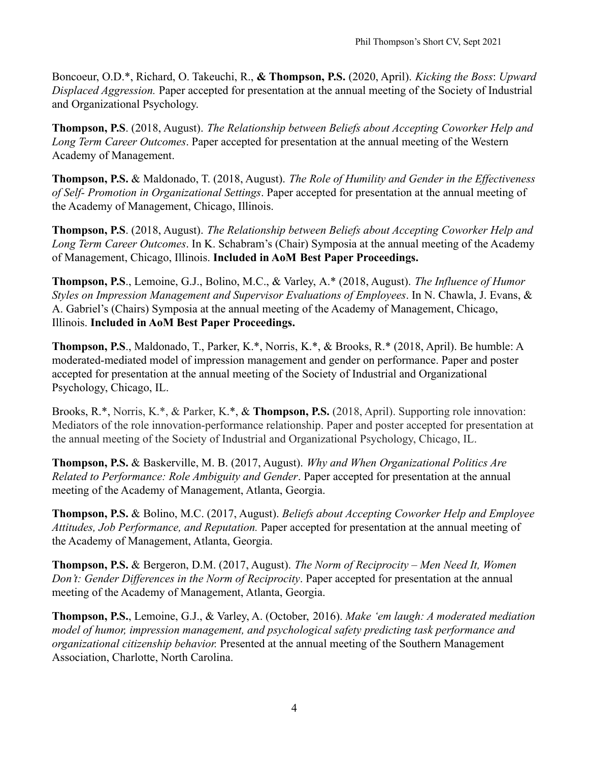Boncoeur, O.D.\*, Richard, O. Takeuchi, R., **& Thompson, P.S.** (2020, April). *Kicking the Boss*: *Upward Displaced Aggression.* Paper accepted for presentation at the annual meeting of the Society of Industrial and Organizational Psychology.

**Thompson, P.S**. (2018, August). *The Relationship between Beliefs about Accepting Coworker Help and Long Term Career Outcomes*. Paper accepted for presentation at the annual meeting of the Western Academy of Management.

**Thompson, P.S.** & Maldonado, T. (2018, August). *The Role of Humility and Gender in the Effectiveness of Self- Promotion in Organizational Settings*. Paper accepted for presentation at the annual meeting of the Academy of Management, Chicago, Illinois.

**Thompson, P.S**. (2018, August). *The Relationship between Beliefs about Accepting Coworker Help and Long Term Career Outcomes*. In K. Schabram's (Chair) Symposia at the annual meeting of the Academy of Management, Chicago, Illinois. **Included in AoM Best Paper Proceedings.**

**Thompson, P.S**., Lemoine, G.J., Bolino, M.C., & Varley, A.\* (2018, August). *The Influence of Humor Styles on Impression Management and Supervisor Evaluations of Employees*. In N. Chawla, J. Evans, & A. Gabriel's (Chairs) Symposia at the annual meeting of the Academy of Management, Chicago, Illinois. **Included in AoM Best Paper Proceedings.**

**Thompson, P.S**., Maldonado, T., Parker, K.\*, Norris, K.\*, & Brooks, R.\* (2018, April). Be humble: A moderated-mediated model of impression management and gender on performance. Paper and poster accepted for presentation at the annual meeting of the Society of Industrial and Organizational Psychology, Chicago, IL.

Brooks, R.\*, Norris, K.\*, & Parker, K.\*, & **Thompson, P.S.** (2018, April). Supporting role innovation: Mediators of the role innovation-performance relationship. Paper and poster accepted for presentation at the annual meeting of the Society of Industrial and Organizational Psychology, Chicago, IL.

**Thompson, P.S.** & [Baskerville, M. B.](http://www.damore-mckim.northeastern.edu/faculty/b/baskerville-watkins-marla/) (2017, August). *Why and When Organizational Politics Are Related to Performance: Role Ambiguity and Gender*. Paper accepted for presentation at the annual meeting of the Academy of Management, Atlanta, Georgia.

**Thompson, P.S.** & [Bolino, M.C.](http://www.damore-mckim.northeastern.edu/faculty/b/baskerville-watkins-marla/) (2017, August). *Beliefs about Accepting Coworker Help and Employee Attitudes, Job Performance, and Reputation.* Paper accepted for presentation at the annual meeting of the Academy of Management, Atlanta, Georgia.

**Thompson, P.S.** & [Bergeron, D.M.](http://www.damore-mckim.northeastern.edu/faculty/b/baskerville-watkins-marla/) (2017, August). *The Norm of Reciprocity – Men Need It, Women Don't: Gender Differences in the Norm of Reciprocity*. Paper accepted for presentation at the annual meeting of the Academy of Management, Atlanta, Georgia.

**Thompson, P.S.**, [Lemoine, G.J.,](https://mgt.buffalo.edu/faculty/academic-departments/organization-human-resources/faculty/g-james-lemoine.html) & Varley, A. (October, 2016). *Make 'em laugh: A moderated mediation model of humor, impression management, and psychological safety predicting task performance and organizational citizenship behavior.* Presented at the annual meeting of the Southern Management Association, Charlotte, North Carolina.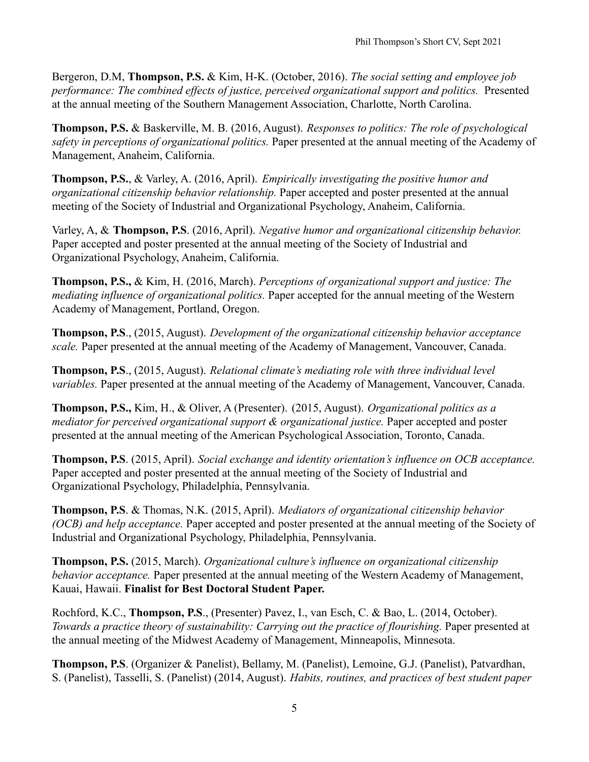Bergeron, D.M, **Thompson, P.S.** & Kim, H-K. (October, 2016). *The social setting and employee job performance: The combined effects of justice, perceived organizational support and politics.* Presented at the annual meeting of the Southern Management Association, Charlotte, North Carolina.

**Thompson, P.S.** & [Baskerville, M. B.](http://www.damore-mckim.northeastern.edu/faculty/b/baskerville-watkins-marla/) (2016, August). *Responses to politics: The role of psychological safety in perceptions of organizational politics.* Paper presented at the annual meeting of the Academy of Management, Anaheim, California.

**Thompson, P.S.**, & Varley, A. (2016, April). *Empirically investigating the positive humor and organizational citizenship behavior relationship.* Paper accepted and poster presented at the annual meeting of the Society of Industrial and Organizational Psychology, Anaheim, California.

Varley, A, & **Thompson, P.S**. (2016, April). *Negative humor and organizational citizenship behavior.* Paper accepted and poster presented at the annual meeting of the Society of Industrial and Organizational Psychology, Anaheim, California.

**Thompson, P.S.,** & Kim, H. (2016, March). *Perceptions of organizational support and justice: The mediating influence of organizational politics.* Paper accepted for the annual meeting of the Western Academy of Management, Portland, Oregon.

**Thompson, P.S**., (2015, August). *Development of the organizational citizenship behavior acceptance scale.* Paper presented at the annual meeting of the Academy of Management, Vancouver, Canada.

**Thompson, P.S**., (2015, August). *Relational climate's mediating role with three individual level variables.* Paper presented at the annual meeting of the Academy of Management, Vancouver, Canada.

**Thompson, P.S.,** Kim, H., & Oliver, A (Presenter). (2015, August). *Organizational politics as a mediator for perceived organizational support & organizational justice.* Paper accepted and poster presented at the annual meeting of the American Psychological Association, Toronto, Canada.

**Thompson, P.S**. (2015, April). *Social exchange and identity orientation's influence on OCB acceptance.* Paper accepted and poster presented at the annual meeting of the Society of Industrial and Organizational Psychology, Philadelphia, Pennsylvania.

**Thompson, P.S**. & Thomas, N.K. (2015, April). *Mediators of organizational citizenship behavior (OCB) and help acceptance.* Paper accepted and poster presented at the annual meeting of the Society of Industrial and Organizational Psychology, Philadelphia, Pennsylvania.

**Thompson, P.S.** (2015, March). *Organizational culture's influence on organizational citizenship behavior acceptance.* Paper presented at the annual meeting of the Western Academy of Management, Kauai, Hawaii. **Finalist for Best Doctoral Student Paper.**

Rochford, K.C., **Thompson, P.S**., (Presenter) Pavez, I., van Esch, C. & Bao, L. (2014, October). *Towards a practice theory of sustainability: Carrying out the practice of flourishing.* Paper presented at the annual meeting of the Midwest Academy of Management, Minneapolis, Minnesota.

**Thompson, P.S**. (Organizer & Panelist), [Bellamy, M.](http://questromapps.bu.edu/mgmt_new/Profiles/BellamyMarcus.html) (Panelist), [Lemoine, G.J.](https://mgt.buffalo.edu/faculty/academic-departments/organization-human-resources/faculty/g-james-lemoine.html) (Panelist), [Patvardhan,](http://lerner.udel.edu/faculty-staff/shubha-patvardhan) [S.](http://lerner.udel.edu/faculty-staff/shubha-patvardhan) (Panelist), [Tasselli, S.](https://www.erim.eur.nl/people/stefano-tasselli/) (Panelist) (2014, August). *Habits, routines, and practices of best student paper*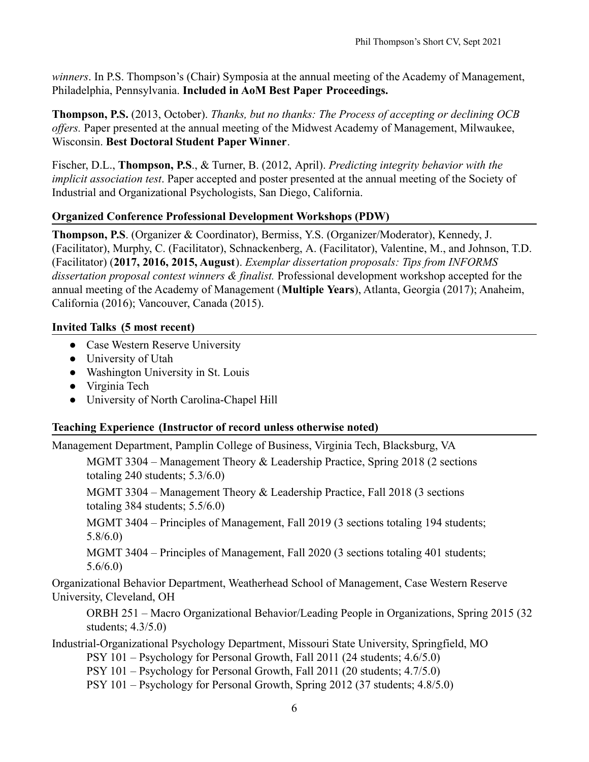*winners*. In P.S. Thompson's (Chair) Symposia at the annual meeting of the Academy of Management, Philadelphia, Pennsylvania. **Included in AoM Best Paper Proceedings.**

**Thompson, P.S.** (2013, October). *Thanks, but no thanks: The Process of accepting or declining OCB offers.* Paper presented at the annual meeting of the Midwest Academy of Management, Milwaukee, Wisconsin. **Best Doctoral Student Paper Winner**.

Fischer, D.L., **Thompson, P.S**., & Turner, B. (2012, April). *Predicting integrity behavior with the implicit association test*. Paper accepted and poster presented at the annual meeting of the Society of Industrial and Organizational Psychologists, San Diego, California.

# **Organized Conference Professional Development Workshops (PDW)**

**Thompson, P.S**. (Organizer & Coordinator), [Bermiss,](https://www.mccombs.utexas.edu/Directory/Profiles/Bermiss-Y) Y.S. (Organizer/Moderator), [Kennedy, J.](http://www.owen.vanderbilt.edu/faculty-and-research/faculty-directory/faculty-profile.cfm?id=286) (Facilitator), [Murphy, C.](http://business.oregonstate.edu/users/chad-murphy) (Facilitator), [Schnackenberg,](http://daniels.du.edu/directory/andrew-schnackenberg/) A. (Facilitator), [Valentine, M.,](https://profiles.stanford.edu/melissa-valentine) and Johnson, T.D. (Facilitator) (**2017, 2016, 2015, August**). *Exemplar dissertation proposals: Tips from INFORMS dissertation proposal contest winners & finalist.* Professional development workshop accepted for the annual meeting of the Academy of Management (**Multiple Years**), Atlanta, Georgia (2017); Anaheim, California (2016); Vancouver, Canada (2015).

# **Invited Talks (5 most recent)**

- Case Western Reserve University
- University of Utah
- Washington University in St. Louis
- Virginia Tech
- University of North Carolina-Chapel Hill

# **Teaching Experience (Instructor of record unless otherwise noted)**

Management Department, Pamplin College of Business, Virginia Tech, Blacksburg, VA

MGMT 3304 – Management Theory & Leadership Practice, Spring 2018 (2 sections totaling 240 students; 5.3/6.0)

MGMT 3304 – Management Theory & Leadership Practice, Fall 2018 (3 sections totaling 384 students; 5.5/6.0)

MGMT 3404 – Principles of Management, Fall 2019 (3 sections totaling 194 students; 5.8/6.0)

MGMT 3404 – Principles of Management, Fall 2020 (3 sections totaling 401 students; 5.6/6.0)

Organizational Behavior Department, Weatherhead School of Management, Case Western Reserve University, Cleveland, OH

ORBH 251 – Macro Organizational Behavior/Leading People in Organizations, Spring 2015 (32 students; 4.3/5.0)

Industrial-Organizational Psychology Department, Missouri State University, Springfield, MO

PSY 101 – Psychology for Personal Growth, Fall 2011 (24 students; 4.6/5.0)

PSY 101 – Psychology for Personal Growth, Fall 2011 (20 students; 4.7/5.0)

PSY 101 – Psychology for Personal Growth, Spring 2012 (37 students; 4.8/5.0)